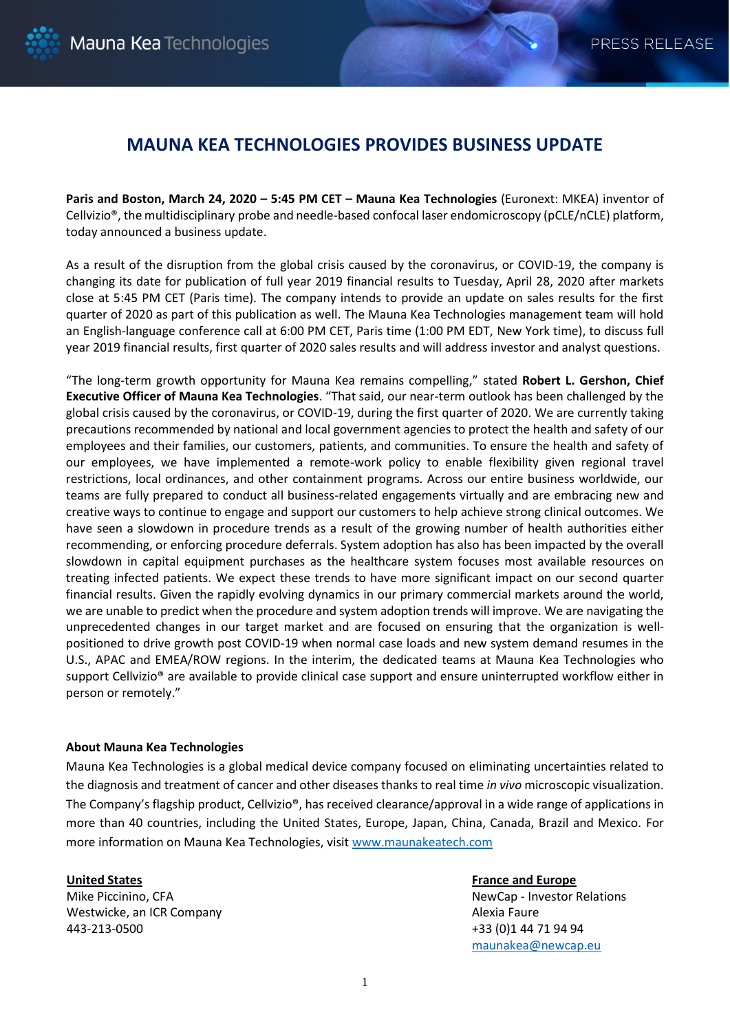## **MAUNA KEA TECHNOLOGIES PROVIDES BUSINESS UPDATE**

**Paris and Boston, March 24, 2020 – 5:45 PM CET – Mauna Kea Technologies** (Euronext: MKEA) inventor of Cellvizio®, the multidisciplinary probe and needle-based confocal laser endomicroscopy (pCLE/nCLE) platform, today announced a business update.

As a result of the disruption from the global crisis caused by the coronavirus, or COVID-19, the company is changing its date for publication of full year 2019 financial results to Tuesday, April 28, 2020 after markets close at 5:45 PM CET (Paris time). The company intends to provide an update on sales results for the first quarter of 2020 as part of this publication as well. The Mauna Kea Technologies management team will hold an English-language conference call at 6:00 PM CET, Paris time (1:00 PM EDT, New York time), to discuss full year 2019 financial results, first quarter of 2020 sales results and will address investor and analyst questions.

"The long-term growth opportunity for Mauna Kea remains compelling," stated **Robert L. Gershon, Chief Executive Officer of Mauna Kea Technologies**. "That said, our near-term outlook has been challenged by the global crisis caused by the coronavirus, or COVID-19, during the first quarter of 2020. We are currently taking precautions recommended by national and local government agencies to protect the health and safety of our employees and their families, our customers, patients, and communities. To ensure the health and safety of our employees, we have implemented a remote-work policy to enable flexibility given regional travel restrictions, local ordinances, and other containment programs. Across our entire business worldwide, our teams are fully prepared to conduct all business-related engagements virtually and are embracing new and creative ways to continue to engage and support our customers to help achieve strong clinical outcomes. We have seen a slowdown in procedure trends as a result of the growing number of health authorities either recommending, or enforcing procedure deferrals. System adoption has also has been impacted by the overall slowdown in capital equipment purchases as the healthcare system focuses most available resources on treating infected patients. We expect these trends to have more significant impact on our second quarter financial results. Given the rapidly evolving dynamics in our primary commercial markets around the world, we are unable to predict when the procedure and system adoption trends will improve. We are navigating the unprecedented changes in our target market and are focused on ensuring that the organization is wellpositioned to drive growth post COVID-19 when normal case loads and new system demand resumes in the U.S., APAC and EMEA/ROW regions. In the interim, the dedicated teams at Mauna Kea Technologies who support Cellvizio® are available to provide clinical case support and ensure uninterrupted workflow either in person or remotely."

## **About Mauna Kea Technologies**

Mauna Kea Technologies is a global medical device company focused on eliminating uncertainties related to the diagnosis and treatment of cancer and other diseases thanks to real time *in vivo* microscopic visualization. The Company's flagship product, Cellvizio®, has received clearance/approval in a wide range of applications in more than 40 countries, including the United States, Europe, Japan, China, Canada, Brazil and Mexico. For more information on Mauna Kea Technologies, visit [www.maunakeatech.com](http://www.maunakeatech.fr/)

## **United States**

Mike Piccinino, CFA Westwicke, an ICR Company 443-213-0500

**France and Europe** NewCap - Investor Relations Alexia Faure +33 (0)1 44 71 94 94 [maunakea@newcap.eu](mailto:maunakea@newcap.eu)